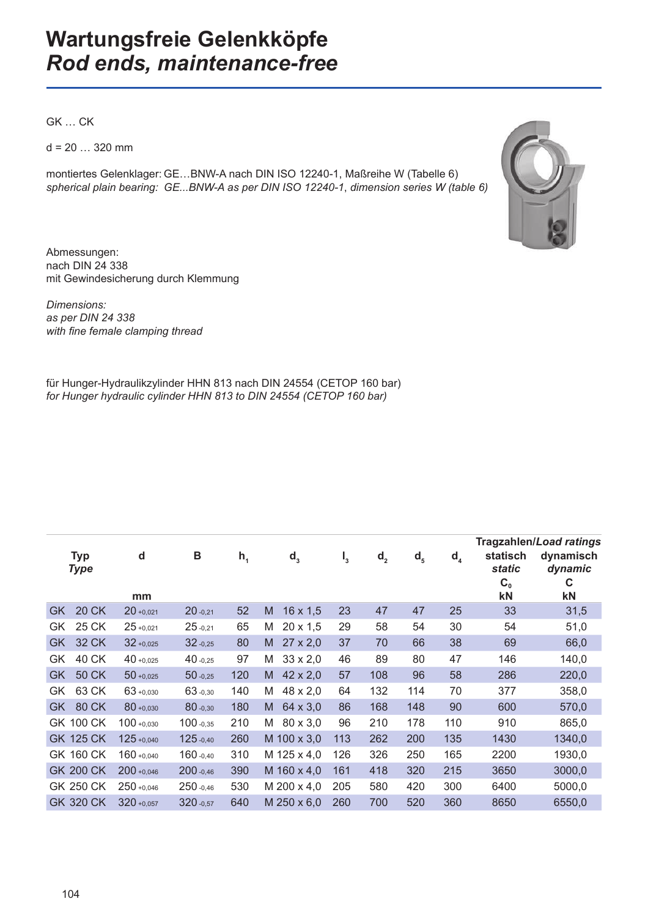GK … CK

 $d = 20$  ... 320 mm

montiertes Gelenklager: GE…BNW-A nach DIN ISO 12240-1, Maßreihe W (Tabelle 6) *spherical plain bearing: GE...BNW-A as per DIN ISO 12240-1*, *dimension series W (table 6)*



Abmessungen: nach DIN 24 338 mit Gewindesicherung durch Klemmung

*Dimensions: as per DIN 24 338 with fi ne female clamping thread*

für Hunger-Hydraulikzylinder HHN 813 nach DIN 24554 (CETOP 160 bar) *for Hunger hydraulic cylinder HHN 813 to DIN 24554 (CETOP 160 bar)*

|           |                           |               |              |         |   |                 |                |                |         |         | Tragzahlen/Load ratings                           |                                 |
|-----------|---------------------------|---------------|--------------|---------|---|-----------------|----------------|----------------|---------|---------|---------------------------------------------------|---------------------------------|
|           | <b>Typ</b><br><b>Type</b> | d<br>mm       | B            | $h_{1}$ |   | $d_3$           | $\mathsf{I}_3$ | d <sub>2</sub> | $d_{5}$ | $d_{4}$ | statisch<br><b>static</b><br>C <sub>0</sub><br>kN | dynamisch<br>dynamic<br>C<br>kN |
| GK        | <b>20 CK</b>              | $20 + 0.021$  | $20 - 0.21$  | 52      | M | $16 \times 1,5$ | 23             | 47             | 47      | 25      | 33                                                | 31,5                            |
|           |                           |               |              |         |   |                 |                |                |         |         |                                                   |                                 |
| GK        | 25 CK                     | $25 + 0.021$  | $25 - 0.21$  | 65      | Μ | $20 \times 1,5$ | 29             | 58             | 54      | 30      | 54                                                | 51,0                            |
| <b>GK</b> | 32 CK                     | $32 + 0.025$  | $32 - 0.25$  | 80      | M | $27 \times 2,0$ | 37             | 70             | 66      | 38      | 69                                                | 66,0                            |
| GK        | 40 CK                     | $40 + 0.025$  | $40 - 0.25$  | 97      | M | $33 \times 2,0$ | 46             | 89             | 80      | 47      | 146                                               | 140,0                           |
| <b>GK</b> | <b>50 CK</b>              | $50 + 0.025$  | $50 - 0.25$  | 120     | M | $42 \times 2,0$ | 57             | 108            | 96      | 58      | 286                                               | 220,0                           |
| GK.       | 63 CK                     | $63 + 0.030$  | 63 -0,30     | 140     | M | 48 x 2,0        | 64             | 132            | 114     | 70      | 377                                               | 358,0                           |
| <b>GK</b> | 80 CK                     | 80+0,030      | 80 -0,30     | 180     | M | 64 x 3,0        | 86             | 168            | 148     | 90      | 600                                               | 570,0                           |
|           | <b>GK 100 CK</b>          | $100 + 0,030$ | 100 -0,35    | 210     | M | 80 x 3,0        | 96             | 210            | 178     | 110     | 910                                               | 865,0                           |
|           | <b>GK 125 CK</b>          | $125 + 0.040$ | 125 -0,40    | 260     |   | M 100 x 3,0     | 113            | 262            | 200     | 135     | 1430                                              | 1340,0                          |
|           | GK 160 CK                 | $160 + 0.040$ | 160 -0.40    | 310     |   | M 125 x 4,0     | 126            | 326            | 250     | 165     | 2200                                              | 1930,0                          |
|           | <b>GK 200 CK</b>          | $200 + 0.046$ | 200 -0,46    | 390     |   | M 160 x 4,0     | 161            | 418            | 320     | 215     | 3650                                              | 3000,0                          |
|           | GK 250 CK                 | $250 + 0.046$ | 250 -0,46    | 530     |   | M 200 x 4,0     | 205            | 580            | 420     | 300     | 6400                                              | 5000,0                          |
|           | <b>GK 320 CK</b>          | $320 + 0.057$ | $320 - 0.57$ | 640     |   | M 250 x 6,0     | 260            | 700            | 520     | 360     | 8650                                              | 6550,0                          |